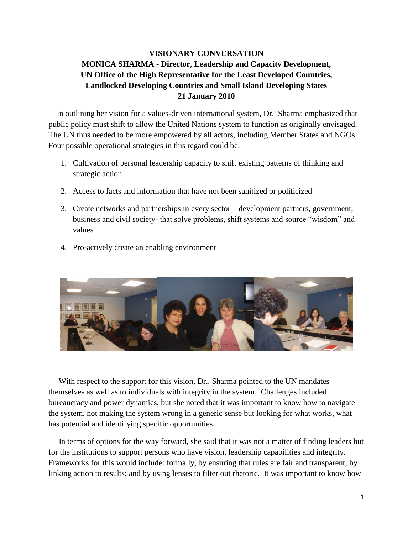## **VISIONARY CONVERSATION MONICA SHARMA - Director, Leadership and Capacity Development, UN Office of the High Representative for the Least Developed Countries, Landlocked Developing Countries and Small Island Developing States 21 January 2010**

 In outlining her vision for a values-driven international system, Dr. Sharma emphasized that public policy must shift to allow the United Nations system to function as originally envisaged. The UN thus needed to be more empowered by all actors, including Member States and NGOs. Four possible operational strategies in this regard could be:

- 1. Cultivation of personal leadership capacity to shift existing patterns of thinking and strategic action
- 2. Access to facts and information that have not been sanitized or politicized
- 3. Create networks and partnerships in every sector development partners, government, business and civil society- that solve problems, shift systems and source "wisdom" and values
- 4. Pro-actively create an enabling environment



With respect to the support for this vision, Dr.. Sharma pointed to the UN mandates themselves as well as to individuals with integrity in the system. Challenges included bureaucracy and power dynamics, but she noted that it was important to know how to navigate the system, not making the system wrong in a generic sense but looking for what works, what has potential and identifying specific opportunities.

 In terms of options for the way forward, she said that it was not a matter of finding leaders but for the institutions to support persons who have vision, leadership capabilities and integrity. Frameworks for this would include: formally, by ensuring that rules are fair and transparent; by linking action to results; and by using lenses to filter out rhetoric. It was important to know how